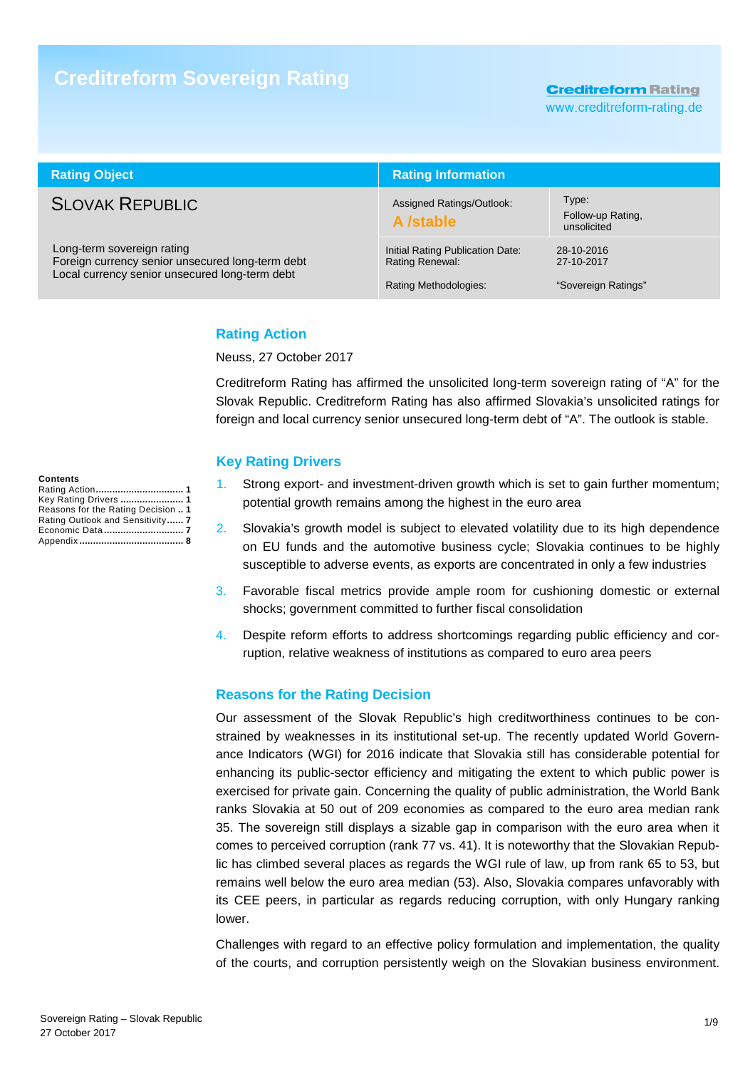# **Creditreform Sovereign Rating**

**Creditreform Rating** 

www.creditreform-rating.de

| <b>Rating Object</b>                                                                                                             | <b>Rating Information</b>                                                    |                                                 |  |  |
|----------------------------------------------------------------------------------------------------------------------------------|------------------------------------------------------------------------------|-------------------------------------------------|--|--|
| <b>SLOVAK REPUBLIC</b>                                                                                                           | Assigned Ratings/Outlook:<br>A /stable                                       | Type:<br>Follow-up Rating,<br>unsolicited       |  |  |
| Long-term sovereign rating<br>Foreign currency senior unsecured long-term debt<br>Local currency senior unsecured long-term debt | Initial Rating Publication Date:<br>Rating Renewal:<br>Rating Methodologies: | 28-10-2016<br>27-10-2017<br>"Sovereign Ratings" |  |  |

# **Rating Action**

Neuss, 27 October 2017

Creditreform Rating has affirmed the unsolicited long-term sovereign rating of "A" for the Slovak Republic. Creditreform Rating has also affirmed Slovakia's unsolicited ratings for foreign and local currency senior unsecured long-term debt of "A". The outlook is stable.

### **Key Rating Drivers**

- 1. Strong export- and investment-driven growth which is set to gain further momentum; potential growth remains among the highest in the euro area
- 2. Slovakia's growth model is subject to elevated volatility due to its high dependence on EU funds and the automotive business cycle; Slovakia continues to be highly susceptible to adverse events, as exports are concentrated in only a few industries
- 3. Favorable fiscal metrics provide ample room for cushioning domestic or external shocks; government committed to further fiscal consolidation
- 4. Despite reform efforts to address shortcomings regarding public efficiency and corruption, relative weakness of institutions as compared to euro area peers

# **Reasons for the Rating Decision**

Our assessment of the Slovak Republic's high creditworthiness continues to be constrained by weaknesses in its institutional set-up. The recently updated World Governance Indicators (WGI) for 2016 indicate that Slovakia still has considerable potential for enhancing its public-sector efficiency and mitigating the extent to which public power is exercised for private gain. Concerning the quality of public administration, the World Bank ranks Slovakia at 50 out of 209 economies as compared to the euro area median rank 35. The sovereign still displays a sizable gap in comparison with the euro area when it comes to perceived corruption (rank 77 vs. 41). It is noteworthy that the Slovakian Republic has climbed several places as regards the WGI rule of law, up from rank 65 to 53, but remains well below the euro area median (53). Also, Slovakia compares unfavorably with its CEE peers, in particular as regards reducing corruption, with only Hungary ranking lower.

Challenges with regard to an effective policy formulation and implementation, the quality of the courts, and corruption persistently weigh on the Slovakian business environment.

| Contents                           |  |
|------------------------------------|--|
| Rating Action 1                    |  |
| Key Rating Drivers  1              |  |
| Reasons for the Rating Decision  1 |  |
| Rating Outlook and Sensitivity 7   |  |
| Economic Data 7                    |  |
|                                    |  |
|                                    |  |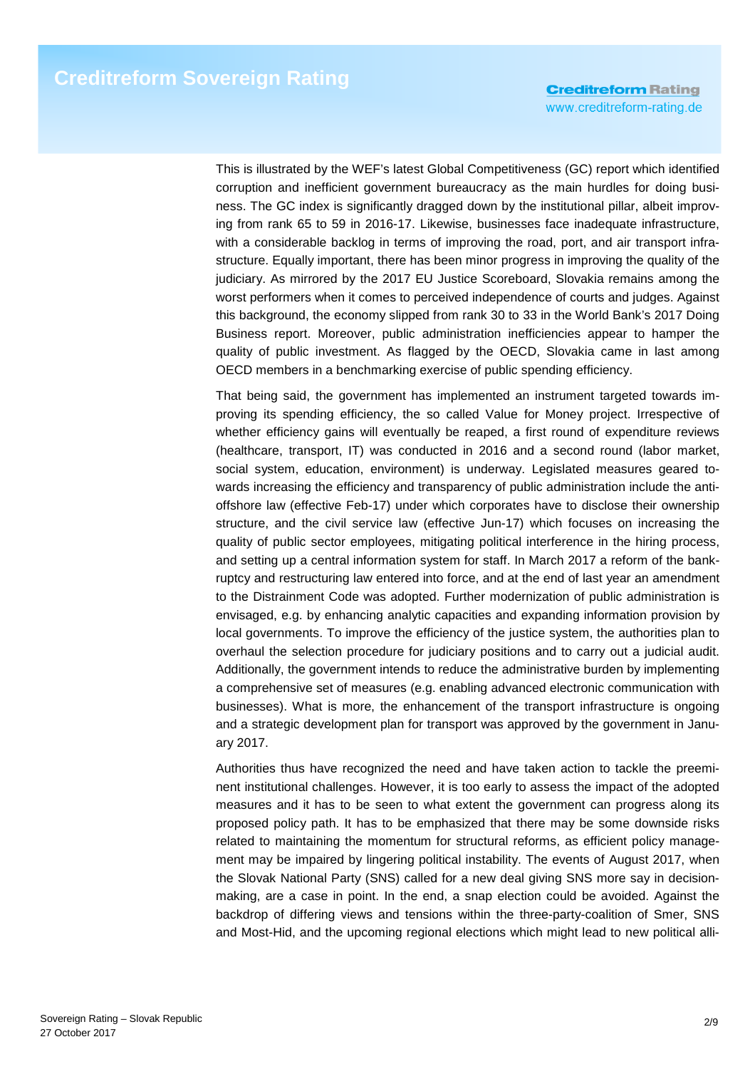This is illustrated by the WEF's latest Global Competitiveness (GC) report which identified corruption and inefficient government bureaucracy as the main hurdles for doing business. The GC index is significantly dragged down by the institutional pillar, albeit improving from rank 65 to 59 in 2016-17. Likewise, businesses face inadequate infrastructure, with a considerable backlog in terms of improving the road, port, and air transport infrastructure. Equally important, there has been minor progress in improving the quality of the judiciary. As mirrored by the 2017 EU Justice Scoreboard, Slovakia remains among the worst performers when it comes to perceived independence of courts and judges. Against this background, the economy slipped from rank 30 to 33 in the World Bank's 2017 Doing Business report. Moreover, public administration inefficiencies appear to hamper the quality of public investment. As flagged by the OECD, Slovakia came in last among OECD members in a benchmarking exercise of public spending efficiency.

That being said, the government has implemented an instrument targeted towards improving its spending efficiency, the so called Value for Money project. Irrespective of whether efficiency gains will eventually be reaped, a first round of expenditure reviews (healthcare, transport, IT) was conducted in 2016 and a second round (labor market, social system, education, environment) is underway. Legislated measures geared towards increasing the efficiency and transparency of public administration include the antioffshore law (effective Feb-17) under which corporates have to disclose their ownership structure, and the civil service law (effective Jun-17) which focuses on increasing the quality of public sector employees, mitigating political interference in the hiring process, and setting up a central information system for staff. In March 2017 a reform of the bankruptcy and restructuring law entered into force, and at the end of last year an amendment to the Distrainment Code was adopted. Further modernization of public administration is envisaged, e.g. by enhancing analytic capacities and expanding information provision by local governments. To improve the efficiency of the justice system, the authorities plan to overhaul the selection procedure for judiciary positions and to carry out a judicial audit. Additionally, the government intends to reduce the administrative burden by implementing a comprehensive set of measures (e.g. enabling advanced electronic communication with businesses). What is more, the enhancement of the transport infrastructure is ongoing and a strategic development plan for transport was approved by the government in January 2017.

Authorities thus have recognized the need and have taken action to tackle the preeminent institutional challenges. However, it is too early to assess the impact of the adopted measures and it has to be seen to what extent the government can progress along its proposed policy path. It has to be emphasized that there may be some downside risks related to maintaining the momentum for structural reforms, as efficient policy management may be impaired by lingering political instability. The events of August 2017, when the Slovak National Party (SNS) called for a new deal giving SNS more say in decisionmaking, are a case in point. In the end, a snap election could be avoided. Against the backdrop of differing views and tensions within the three-party-coalition of Smer, SNS and Most-Hid, and the upcoming regional elections which might lead to new political alli-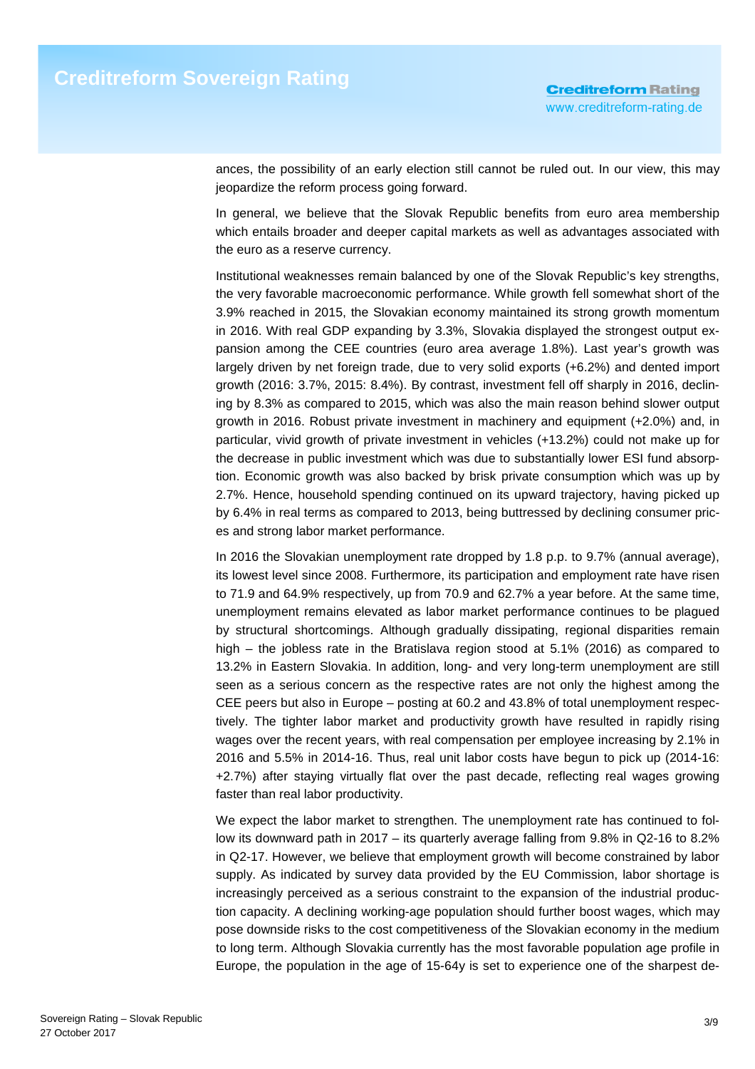ances, the possibility of an early election still cannot be ruled out. In our view, this may jeopardize the reform process going forward.

In general, we believe that the Slovak Republic benefits from euro area membership which entails broader and deeper capital markets as well as advantages associated with the euro as a reserve currency.

Institutional weaknesses remain balanced by one of the Slovak Republic's key strengths, the very favorable macroeconomic performance. While growth fell somewhat short of the 3.9% reached in 2015, the Slovakian economy maintained its strong growth momentum in 2016. With real GDP expanding by 3.3%, Slovakia displayed the strongest output expansion among the CEE countries (euro area average 1.8%). Last year's growth was largely driven by net foreign trade, due to very solid exports (+6.2%) and dented import growth (2016: 3.7%, 2015: 8.4%). By contrast, investment fell off sharply in 2016, declining by 8.3% as compared to 2015, which was also the main reason behind slower output growth in 2016. Robust private investment in machinery and equipment (+2.0%) and, in particular, vivid growth of private investment in vehicles (+13.2%) could not make up for the decrease in public investment which was due to substantially lower ESI fund absorption. Economic growth was also backed by brisk private consumption which was up by 2.7%. Hence, household spending continued on its upward trajectory, having picked up by 6.4% in real terms as compared to 2013, being buttressed by declining consumer prices and strong labor market performance.

In 2016 the Slovakian unemployment rate dropped by 1.8 p.p. to 9.7% (annual average), its lowest level since 2008. Furthermore, its participation and employment rate have risen to 71.9 and 64.9% respectively, up from 70.9 and 62.7% a year before. At the same time, unemployment remains elevated as labor market performance continues to be plagued by structural shortcomings. Although gradually dissipating, regional disparities remain high – the jobless rate in the Bratislava region stood at 5.1% (2016) as compared to 13.2% in Eastern Slovakia. In addition, long- and very long-term unemployment are still seen as a serious concern as the respective rates are not only the highest among the CEE peers but also in Europe – posting at 60.2 and 43.8% of total unemployment respectively. The tighter labor market and productivity growth have resulted in rapidly rising wages over the recent years, with real compensation per employee increasing by 2.1% in 2016 and 5.5% in 2014-16. Thus, real unit labor costs have begun to pick up (2014-16: +2.7%) after staying virtually flat over the past decade, reflecting real wages growing faster than real labor productivity.

We expect the labor market to strengthen. The unemployment rate has continued to follow its downward path in 2017 – its quarterly average falling from 9.8% in Q2-16 to 8.2% in Q2-17. However, we believe that employment growth will become constrained by labor supply. As indicated by survey data provided by the EU Commission, labor shortage is increasingly perceived as a serious constraint to the expansion of the industrial production capacity. A declining working-age population should further boost wages, which may pose downside risks to the cost competitiveness of the Slovakian economy in the medium to long term. Although Slovakia currently has the most favorable population age profile in Europe, the population in the age of 15-64y is set to experience one of the sharpest de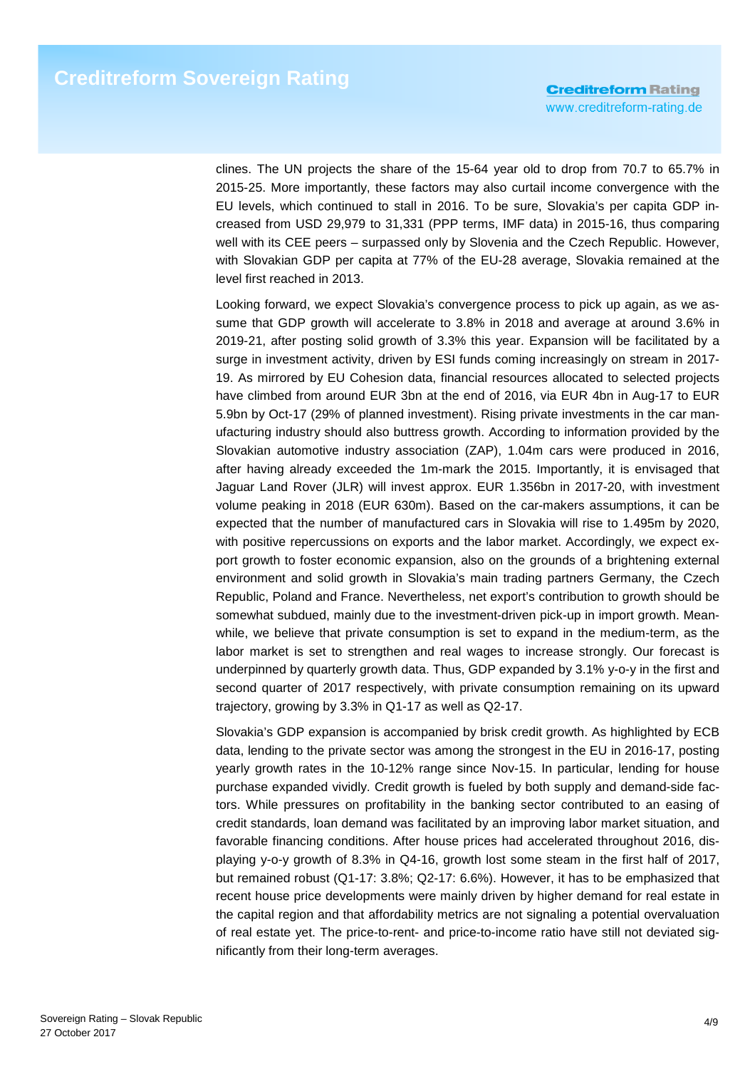clines. The UN projects the share of the 15-64 year old to drop from 70.7 to 65.7% in 2015-25. More importantly, these factors may also curtail income convergence with the EU levels, which continued to stall in 2016. To be sure, Slovakia's per capita GDP increased from USD 29,979 to 31,331 (PPP terms, IMF data) in 2015-16, thus comparing well with its CEE peers – surpassed only by Slovenia and the Czech Republic. However, with Slovakian GDP per capita at 77% of the EU-28 average, Slovakia remained at the level first reached in 2013.

Looking forward, we expect Slovakia's convergence process to pick up again, as we assume that GDP growth will accelerate to 3.8% in 2018 and average at around 3.6% in 2019-21, after posting solid growth of 3.3% this year. Expansion will be facilitated by a surge in investment activity, driven by ESI funds coming increasingly on stream in 2017- 19. As mirrored by EU Cohesion data, financial resources allocated to selected projects have climbed from around EUR 3bn at the end of 2016, via EUR 4bn in Aug-17 to EUR 5.9bn by Oct-17 (29% of planned investment). Rising private investments in the car manufacturing industry should also buttress growth. According to information provided by the Slovakian automotive industry association (ZAP), 1.04m cars were produced in 2016, after having already exceeded the 1m-mark the 2015. Importantly, it is envisaged that Jaguar Land Rover (JLR) will invest approx. EUR 1.356bn in 2017-20, with investment volume peaking in 2018 (EUR 630m). Based on the car-makers assumptions, it can be expected that the number of manufactured cars in Slovakia will rise to 1.495m by 2020, with positive repercussions on exports and the labor market. Accordingly, we expect export growth to foster economic expansion, also on the grounds of a brightening external environment and solid growth in Slovakia's main trading partners Germany, the Czech Republic, Poland and France. Nevertheless, net export's contribution to growth should be somewhat subdued, mainly due to the investment-driven pick-up in import growth. Meanwhile, we believe that private consumption is set to expand in the medium-term, as the labor market is set to strengthen and real wages to increase strongly. Our forecast is underpinned by quarterly growth data. Thus, GDP expanded by 3.1% y-o-y in the first and second quarter of 2017 respectively, with private consumption remaining on its upward trajectory, growing by 3.3% in Q1-17 as well as Q2-17.

Slovakia's GDP expansion is accompanied by brisk credit growth. As highlighted by ECB data, lending to the private sector was among the strongest in the EU in 2016-17, posting yearly growth rates in the 10-12% range since Nov-15. In particular, lending for house purchase expanded vividly. Credit growth is fueled by both supply and demand-side factors. While pressures on profitability in the banking sector contributed to an easing of credit standards, loan demand was facilitated by an improving labor market situation, and favorable financing conditions. After house prices had accelerated throughout 2016, displaying y-o-y growth of 8.3% in Q4-16, growth lost some steam in the first half of 2017, but remained robust (Q1-17: 3.8%; Q2-17: 6.6%). However, it has to be emphasized that recent house price developments were mainly driven by higher demand for real estate in the capital region and that affordability metrics are not signaling a potential overvaluation of real estate yet. The price-to-rent- and price-to-income ratio have still not deviated significantly from their long-term averages.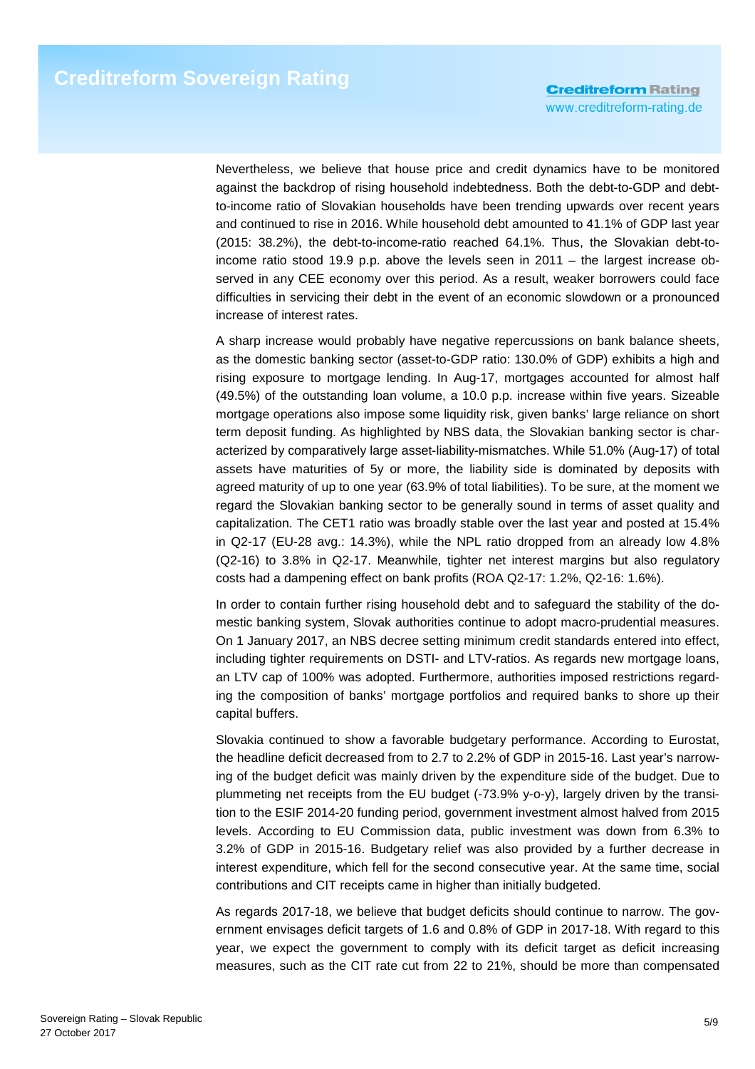Nevertheless, we believe that house price and credit dynamics have to be monitored against the backdrop of rising household indebtedness. Both the debt-to-GDP and debtto-income ratio of Slovakian households have been trending upwards over recent years and continued to rise in 2016. While household debt amounted to 41.1% of GDP last year (2015: 38.2%), the debt-to-income-ratio reached 64.1%. Thus, the Slovakian debt-toincome ratio stood 19.9 p.p. above the levels seen in 2011 – the largest increase observed in any CEE economy over this period. As a result, weaker borrowers could face difficulties in servicing their debt in the event of an economic slowdown or a pronounced increase of interest rates.

A sharp increase would probably have negative repercussions on bank balance sheets, as the domestic banking sector (asset-to-GDP ratio: 130.0% of GDP) exhibits a high and rising exposure to mortgage lending. In Aug-17, mortgages accounted for almost half (49.5%) of the outstanding loan volume, a 10.0 p.p. increase within five years. Sizeable mortgage operations also impose some liquidity risk, given banks' large reliance on short term deposit funding. As highlighted by NBS data, the Slovakian banking sector is characterized by comparatively large asset-liability-mismatches. While 51.0% (Aug-17) of total assets have maturities of 5y or more, the liability side is dominated by deposits with agreed maturity of up to one year (63.9% of total liabilities). To be sure, at the moment we regard the Slovakian banking sector to be generally sound in terms of asset quality and capitalization. The CET1 ratio was broadly stable over the last year and posted at 15.4% in Q2-17 (EU-28 avg.: 14.3%), while the NPL ratio dropped from an already low 4.8% (Q2-16) to 3.8% in Q2-17. Meanwhile, tighter net interest margins but also regulatory costs had a dampening effect on bank profits (ROA Q2-17: 1.2%, Q2-16: 1.6%).

In order to contain further rising household debt and to safeguard the stability of the domestic banking system, Slovak authorities continue to adopt macro-prudential measures. On 1 January 2017, an NBS decree setting minimum credit standards entered into effect, including tighter requirements on DSTI- and LTV-ratios. As regards new mortgage loans, an LTV cap of 100% was adopted. Furthermore, authorities imposed restrictions regarding the composition of banks' mortgage portfolios and required banks to shore up their capital buffers.

Slovakia continued to show a favorable budgetary performance. According to Eurostat, the headline deficit decreased from to 2.7 to 2.2% of GDP in 2015-16. Last year's narrowing of the budget deficit was mainly driven by the expenditure side of the budget. Due to plummeting net receipts from the EU budget (-73.9% y-o-y), largely driven by the transition to the ESIF 2014-20 funding period, government investment almost halved from 2015 levels. According to EU Commission data, public investment was down from 6.3% to 3.2% of GDP in 2015-16. Budgetary relief was also provided by a further decrease in interest expenditure, which fell for the second consecutive year. At the same time, social contributions and CIT receipts came in higher than initially budgeted.

As regards 2017-18, we believe that budget deficits should continue to narrow. The government envisages deficit targets of 1.6 and 0.8% of GDP in 2017-18. With regard to this year, we expect the government to comply with its deficit target as deficit increasing measures, such as the CIT rate cut from 22 to 21%, should be more than compensated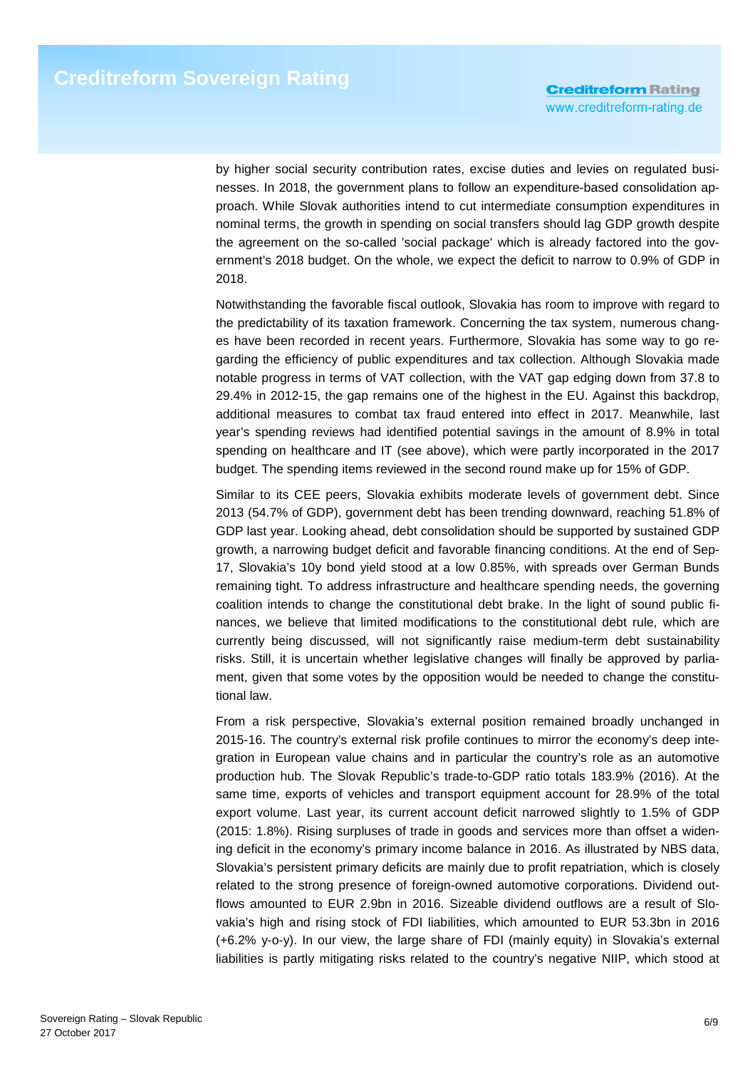by higher social security contribution rates, excise duties and levies on regulated businesses. In 2018, the government plans to follow an expenditure-based consolidation approach. While Slovak authorities intend to cut intermediate consumption expenditures in nominal terms, the growth in spending on social transfers should lag GDP growth despite the agreement on the so-called 'social package' which is already factored into the government's 2018 budget. On the whole, we expect the deficit to narrow to 0.9% of GDP in 2018.

Notwithstanding the favorable fiscal outlook, Slovakia has room to improve with regard to the predictability of its taxation framework. Concerning the tax system, numerous changes have been recorded in recent years. Furthermore, Slovakia has some way to go regarding the efficiency of public expenditures and tax collection. Although Slovakia made notable progress in terms of VAT collection, with the VAT gap edging down from 37.8 to 29.4% in 2012-15, the gap remains one of the highest in the EU. Against this backdrop, additional measures to combat tax fraud entered into effect in 2017. Meanwhile, last year's spending reviews had identified potential savings in the amount of 8.9% in total spending on healthcare and IT (see above), which were partly incorporated in the 2017 budget. The spending items reviewed in the second round make up for 15% of GDP.

Similar to its CEE peers, Slovakia exhibits moderate levels of government debt. Since 2013 (54.7% of GDP), government debt has been trending downward, reaching 51.8% of GDP last year. Looking ahead, debt consolidation should be supported by sustained GDP growth, a narrowing budget deficit and favorable financing conditions. At the end of Sep-17, Slovakia's 10y bond yield stood at a low 0.85%, with spreads over German Bunds remaining tight. To address infrastructure and healthcare spending needs, the governing coalition intends to change the constitutional debt brake. In the light of sound public finances, we believe that limited modifications to the constitutional debt rule, which are currently being discussed, will not significantly raise medium-term debt sustainability risks. Still, it is uncertain whether legislative changes will finally be approved by parliament, given that some votes by the opposition would be needed to change the constitutional law.

From a risk perspective, Slovakia's external position remained broadly unchanged in 2015-16. The country's external risk profile continues to mirror the economy's deep integration in European value chains and in particular the country's role as an automotive production hub. The Slovak Republic's trade-to-GDP ratio totals 183.9% (2016). At the same time, exports of vehicles and transport equipment account for 28.9% of the total export volume. Last year, its current account deficit narrowed slightly to 1.5% of GDP (2015: 1.8%). Rising surpluses of trade in goods and services more than offset a widening deficit in the economy's primary income balance in 2016. As illustrated by NBS data, Slovakia's persistent primary deficits are mainly due to profit repatriation, which is closely related to the strong presence of foreign-owned automotive corporations. Dividend outflows amounted to EUR 2.9bn in 2016. Sizeable dividend outflows are a result of Slovakia's high and rising stock of FDI liabilities, which amounted to EUR 53.3bn in 2016 (+6.2% y-o-y). In our view, the large share of FDI (mainly equity) in Slovakia's external liabilities is partly mitigating risks related to the country's negative NIIP, which stood at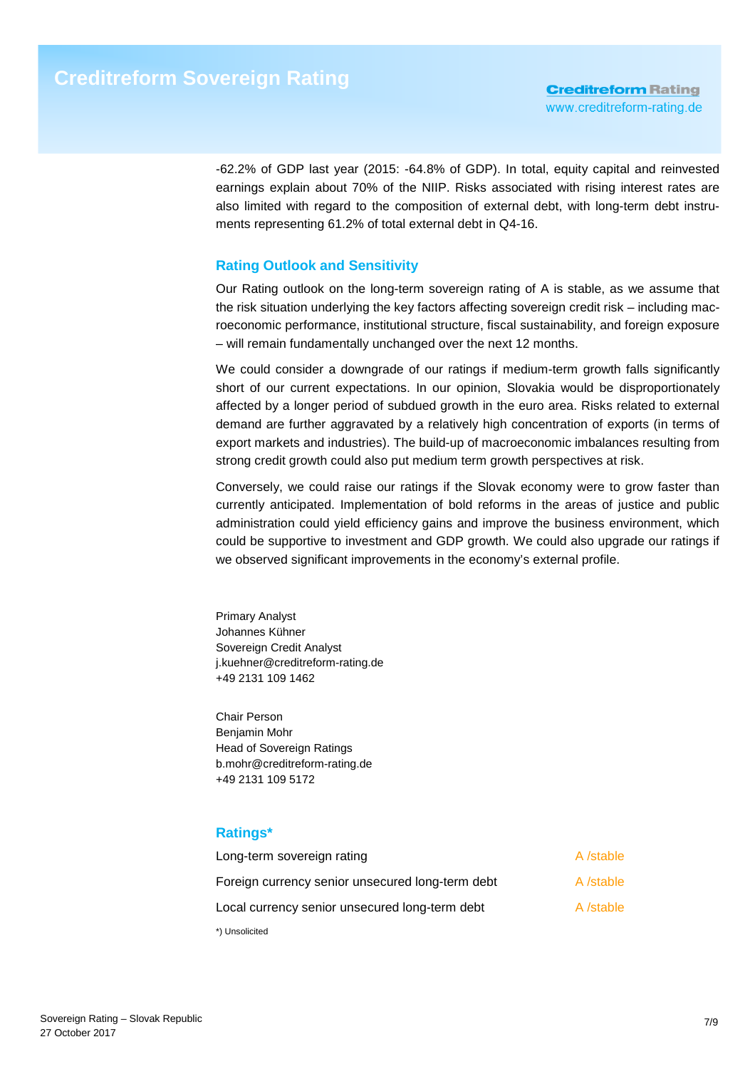-62.2% of GDP last year (2015: -64.8% of GDP). In total, equity capital and reinvested earnings explain about 70% of the NIIP. Risks associated with rising interest rates are also limited with regard to the composition of external debt, with long-term debt instruments representing 61.2% of total external debt in Q4-16.

# **Rating Outlook and Sensitivity**

Our Rating outlook on the long-term sovereign rating of A is stable, as we assume that the risk situation underlying the key factors affecting sovereign credit risk – including macroeconomic performance, institutional structure, fiscal sustainability, and foreign exposure – will remain fundamentally unchanged over the next 12 months.

We could consider a downgrade of our ratings if medium-term growth falls significantly short of our current expectations. In our opinion, Slovakia would be disproportionately affected by a longer period of subdued growth in the euro area. Risks related to external demand are further aggravated by a relatively high concentration of exports (in terms of export markets and industries). The build-up of macroeconomic imbalances resulting from strong credit growth could also put medium term growth perspectives at risk.

Conversely, we could raise our ratings if the Slovak economy were to grow faster than currently anticipated. Implementation of bold reforms in the areas of justice and public administration could yield efficiency gains and improve the business environment, which could be supportive to investment and GDP growth. We could also upgrade our ratings if we observed significant improvements in the economy's external profile.

Primary Analyst Johannes Kühner Sovereign Credit Analyst j.kuehner@creditreform-rating.de +49 2131 109 1462

Chair Person Benjamin Mohr Head of Sovereign Ratings b.mohr@creditreform-rating.de +49 2131 109 5172

# **Ratings\***

| Long-term sovereign rating                       | A /stable |
|--------------------------------------------------|-----------|
| Foreign currency senior unsecured long-term debt | A /stable |
| Local currency senior unsecured long-term debt   | A /stable |
| *) Unsolicited                                   |           |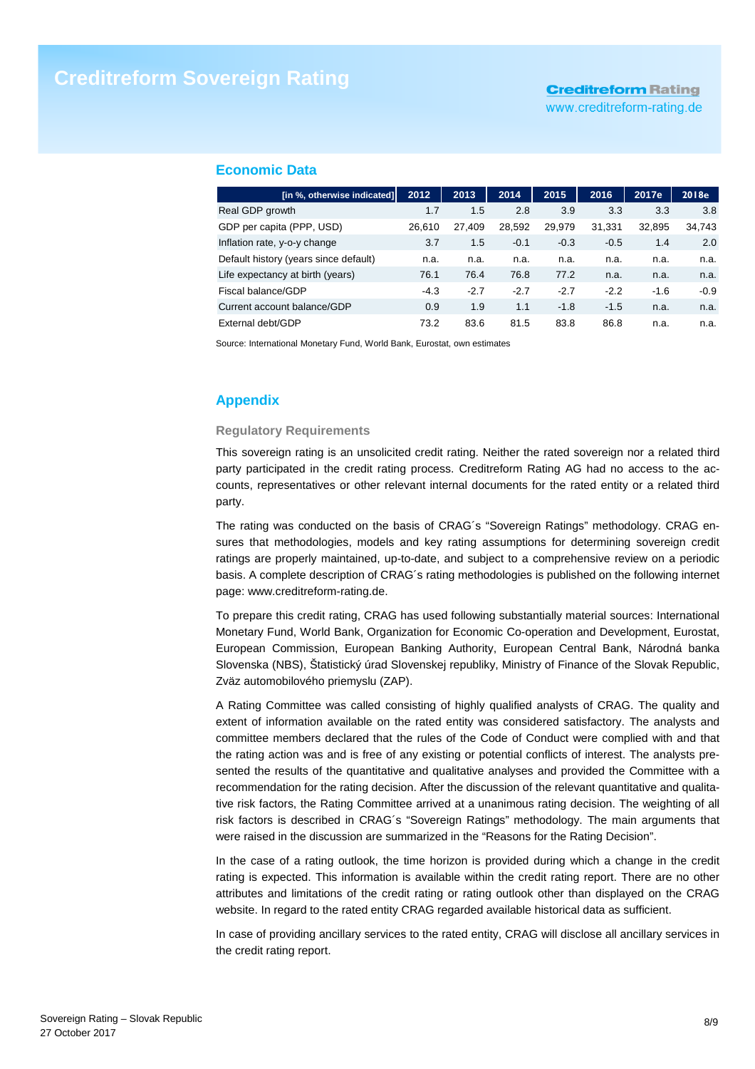# **Creditreform Rating**

www.creditreform-rating.de

### **Economic Data**

| [in %, otherwise indicated]           | 2012   | 2013   | 2014   | 2015   | 2016   | 2017e  | 2018e  |
|---------------------------------------|--------|--------|--------|--------|--------|--------|--------|
| Real GDP growth                       | 1.7    | 1.5    | 2.8    | 3.9    | 3.3    | 3.3    | 3.8    |
| GDP per capita (PPP, USD)             | 26.610 | 27.409 | 28,592 | 29.979 | 31,331 | 32,895 | 34,743 |
| Inflation rate, y-o-y change          | 3.7    | 1.5    | $-0.1$ | $-0.3$ | $-0.5$ | 1.4    | 2.0    |
| Default history (years since default) | n.a.   | n.a.   | n.a.   | n.a.   | n.a.   | n.a.   | n.a.   |
| Life expectancy at birth (years)      | 76.1   | 76.4   | 76.8   | 77.2   | n.a.   | n.a.   | n.a.   |
| Fiscal balance/GDP                    | $-4.3$ | $-2.7$ | $-2.7$ | $-2.7$ | $-2.2$ | $-1.6$ | $-0.9$ |
| Current account balance/GDP           | 0.9    | 1.9    | 1.1    | $-1.8$ | $-1.5$ | n.a.   | n.a.   |
| External debt/GDP                     | 73.2   | 83.6   | 81.5   | 83.8   | 86.8   | n.a.   | n.a.   |

Source: International Monetary Fund, World Bank, Eurostat, own estimates

# **Appendix**

#### **Regulatory Requirements**

This sovereign rating is an unsolicited credit rating. Neither the rated sovereign nor a related third party participated in the credit rating process. Creditreform Rating AG had no access to the accounts, representatives or other relevant internal documents for the rated entity or a related third party.

The rating was conducted on the basis of CRAG´s "Sovereign Ratings" methodology. CRAG ensures that methodologies, models and key rating assumptions for determining sovereign credit ratings are properly maintained, up-to-date, and subject to a comprehensive review on a periodic basis. A complete description of CRAG´s rating methodologies is published on the following internet page: www.creditreform-rating.de.

To prepare this credit rating, CRAG has used following substantially material sources: International Monetary Fund, World Bank, Organization for Economic Co-operation and Development, Eurostat, European Commission, European Banking Authority, European Central Bank, Národná banka Slovenska (NBS), Štatistický úrad Slovenskej republiky, Ministry of Finance of the Slovak Republic, Zväz automobilového priemyslu (ZAP).

A Rating Committee was called consisting of highly qualified analysts of CRAG. The quality and extent of information available on the rated entity was considered satisfactory. The analysts and committee members declared that the rules of the Code of Conduct were complied with and that the rating action was and is free of any existing or potential conflicts of interest. The analysts presented the results of the quantitative and qualitative analyses and provided the Committee with a recommendation for the rating decision. After the discussion of the relevant quantitative and qualitative risk factors, the Rating Committee arrived at a unanimous rating decision. The weighting of all risk factors is described in CRAG´s "Sovereign Ratings" methodology. The main arguments that were raised in the discussion are summarized in the "Reasons for the Rating Decision".

In the case of a rating outlook, the time horizon is provided during which a change in the credit rating is expected. This information is available within the credit rating report. There are no other attributes and limitations of the credit rating or rating outlook other than displayed on the CRAG website. In regard to the rated entity CRAG regarded available historical data as sufficient.

In case of providing ancillary services to the rated entity, CRAG will disclose all ancillary services in the credit rating report.